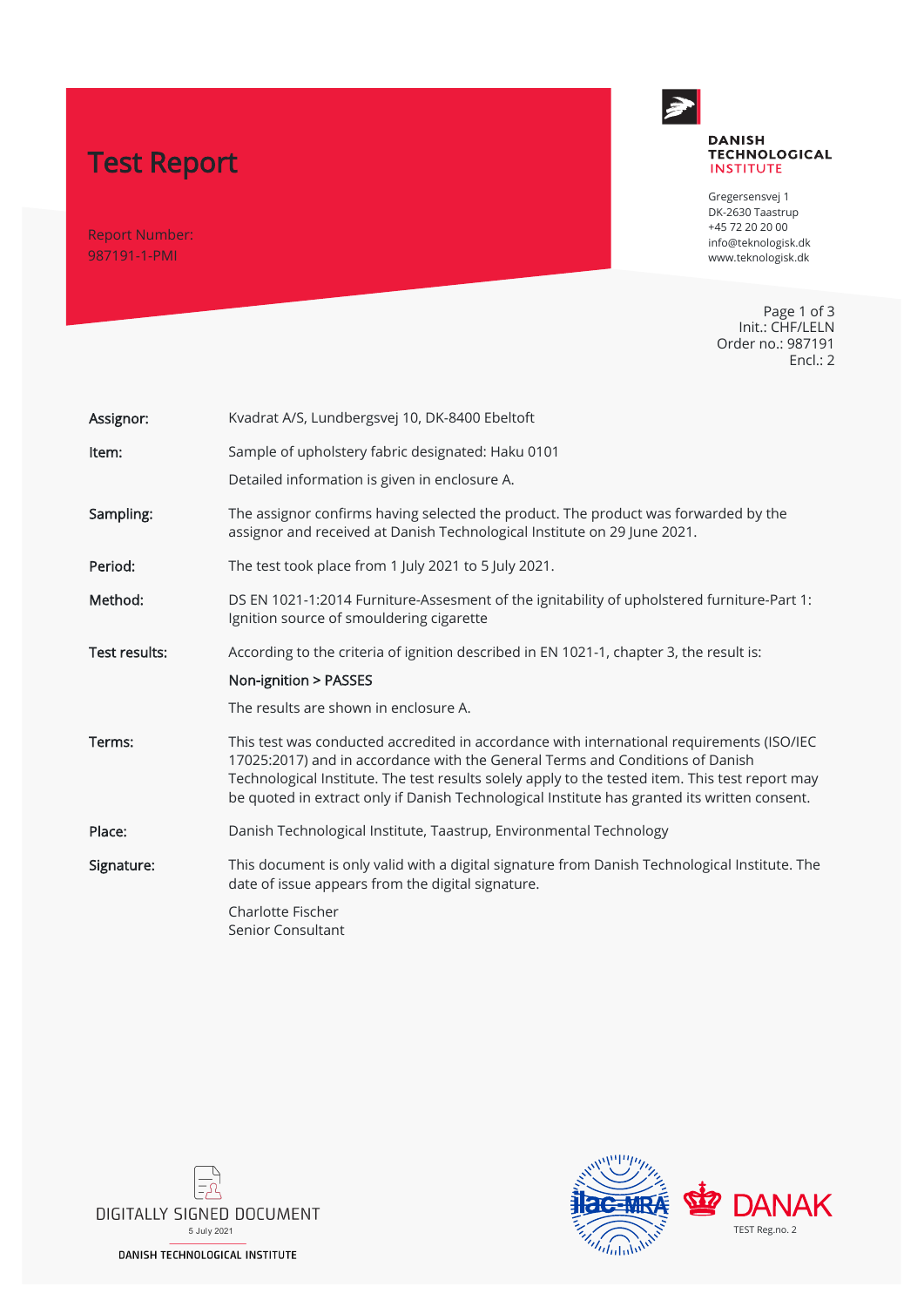# Test Report

Report Number: 987191-1-PMI



#### **DANISH TECHNOLOGICAL INSTITUTE**

Gregersensvej 1 DK-2630 Taastrup +45 72 20 20 00 info@teknologisk.dk www.teknologisk.dk

Page 1 of 3 Init.: CHF/LELN Order no.: 987191 Encl.: 2

| Assignor:            | Kvadrat A/S, Lundbergsvej 10, DK-8400 Ebeltoft                                                                                                                                                                                                                                                                                                                                |
|----------------------|-------------------------------------------------------------------------------------------------------------------------------------------------------------------------------------------------------------------------------------------------------------------------------------------------------------------------------------------------------------------------------|
| Item:                | Sample of upholstery fabric designated: Haku 0101                                                                                                                                                                                                                                                                                                                             |
|                      | Detailed information is given in enclosure A.                                                                                                                                                                                                                                                                                                                                 |
| Sampling:            | The assignor confirms having selected the product. The product was forwarded by the<br>assignor and received at Danish Technological Institute on 29 June 2021.                                                                                                                                                                                                               |
| Period:              | The test took place from 1 July 2021 to 5 July 2021.                                                                                                                                                                                                                                                                                                                          |
| Method:              | DS EN 1021-1:2014 Furniture-Assesment of the ignitability of upholstered furniture-Part 1:<br>Ignition source of smouldering cigarette                                                                                                                                                                                                                                        |
| <b>Test results:</b> | According to the criteria of ignition described in EN 1021-1, chapter 3, the result is:                                                                                                                                                                                                                                                                                       |
|                      | Non-ignition > PASSES                                                                                                                                                                                                                                                                                                                                                         |
|                      | The results are shown in enclosure A.                                                                                                                                                                                                                                                                                                                                         |
| Terms:               | This test was conducted accredited in accordance with international requirements (ISO/IEC<br>17025:2017) and in accordance with the General Terms and Conditions of Danish<br>Technological Institute. The test results solely apply to the tested item. This test report may<br>be quoted in extract only if Danish Technological Institute has granted its written consent. |
| Place:               | Danish Technological Institute, Taastrup, Environmental Technology                                                                                                                                                                                                                                                                                                            |
| Signature:           | This document is only valid with a digital signature from Danish Technological Institute. The<br>date of issue appears from the digital signature.                                                                                                                                                                                                                            |
|                      | Charlotte Fischer<br>Senior Consultant                                                                                                                                                                                                                                                                                                                                        |



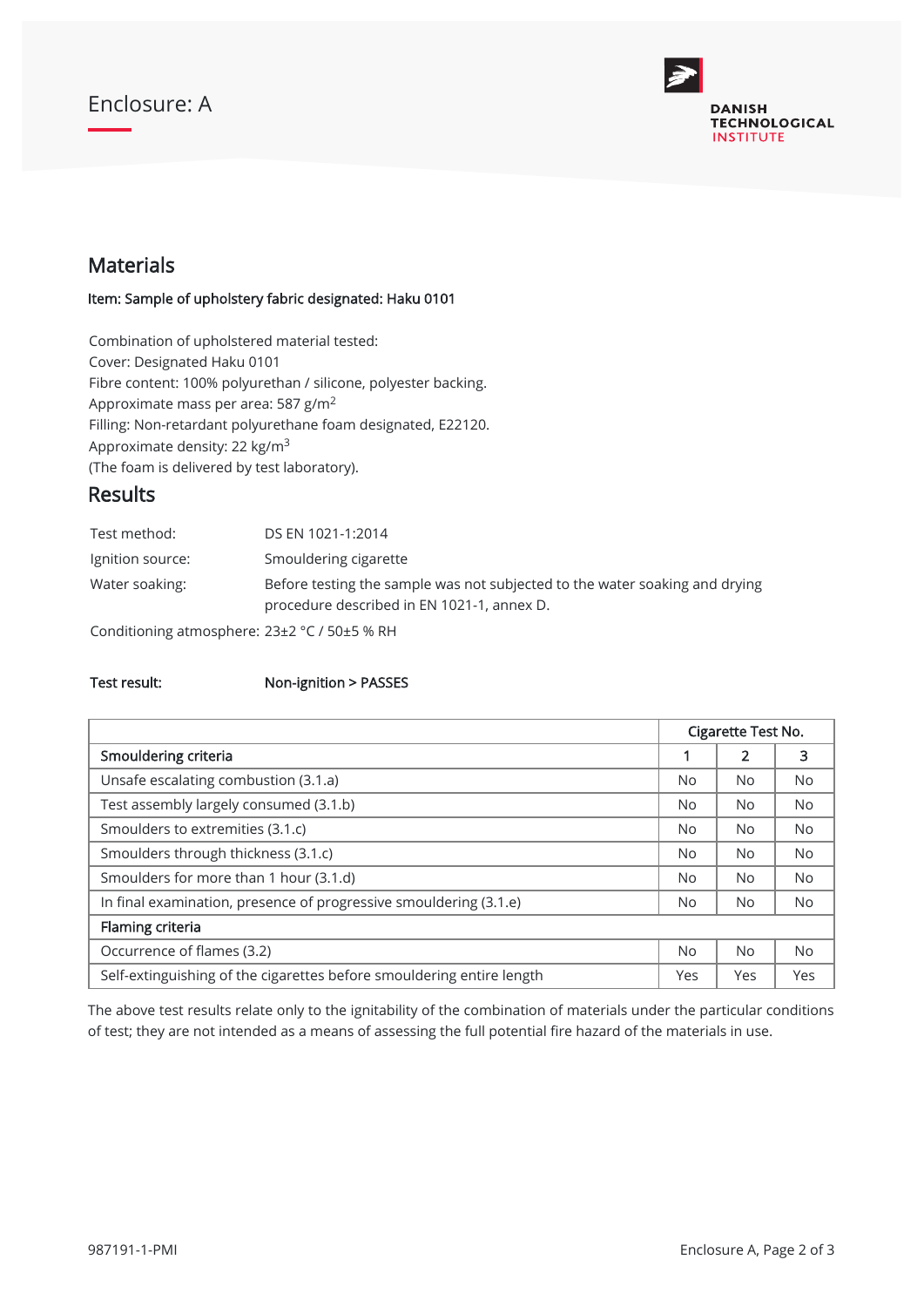## Enclosure: A



### Materials

#### Item: Sample of upholstery fabric designated: Haku 0101

Combination of upholstered material tested: Cover: Designated Haku 0101 Fibre content: 100% polyurethan / silicone, polyester backing. Approximate mass per area: 587 g/m $^2$ Filling: Non-retardant polyurethane foam designated, E22120. Approximate density: 22 kg/m<sup>3</sup> (The foam is delivered by test laboratory).

### Results

| Test method:                                                                        | DS EN 1021-1:2014                                                                                                         |
|-------------------------------------------------------------------------------------|---------------------------------------------------------------------------------------------------------------------------|
| Ignition source:                                                                    | Smouldering cigarette                                                                                                     |
| Water soaking:                                                                      | Before testing the sample was not subjected to the water soaking and drying<br>procedure described in EN 1021-1, annex D. |
| $\sigma$ . The state of the state of $\sigma$ and $\sigma$ is the state of $\sigma$ |                                                                                                                           |

Conditioning atmosphere: 23±2 °C / 50±5 % RH

#### Test result: Non-ignition > PASSES

|                                                                       | Cigarette Test No. |           |           |
|-----------------------------------------------------------------------|--------------------|-----------|-----------|
| Smouldering criteria                                                  |                    | 2         | 3         |
| Unsafe escalating combustion (3.1.a)                                  |                    | No.       | No.       |
| Test assembly largely consumed (3.1.b)                                |                    | <b>No</b> | <b>No</b> |
| Smoulders to extremities (3.1.c)                                      |                    | <b>No</b> | <b>No</b> |
| Smoulders through thickness (3.1.c)                                   |                    | No.       | <b>No</b> |
| Smoulders for more than 1 hour (3.1.d)                                |                    | No.       | <b>No</b> |
| In final examination, presence of progressive smouldering (3.1.e)     | <b>No</b>          | <b>No</b> | <b>No</b> |
| Flaming criteria                                                      |                    |           |           |
| Occurrence of flames (3.2)                                            |                    | <b>No</b> | <b>No</b> |
| Self-extinguishing of the cigarettes before smouldering entire length |                    | Yes       | Yes       |

The above test results relate only to the ignitability of the combination of materials under the particular conditions of test; they are not intended as a means of assessing the full potential fire hazard of the materials in use.